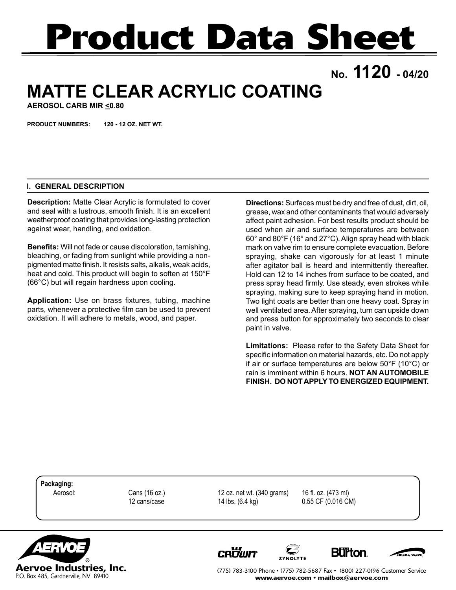# **Product Data Sheet**

**No. 1120 - 04/20**

## **MATTE CLEAR ACRYLIC COATING**

**AEROSOL CARB MIR <0.80**

**PRODUCT NUMBERS: 120 - 12 OZ. NET WT.**

#### **I. GENERAL DESCRIPTION**

**Description:** Matte Clear Acrylic is formulated to cover and seal with a lustrous, smooth finish. It is an excellent weatherproof coating that provides long-lasting protection against wear, handling, and oxidation.

**Benefits:** Will not fade or cause discoloration, tarnishing, bleaching, or fading from sunlight while providing a nonpigmented matte finish. It resists salts, alkalis, weak acids, heat and cold. This product will begin to soften at 150°F (66°C) but will regain hardness upon cooling.

**Application:** Use on brass fixtures, tubing, machine parts, whenever a protective film can be used to prevent oxidation. It will adhere to metals, wood, and paper.

**Directions:** Surfaces must be dry and free of dust, dirt, oil, grease, wax and other contaminants that would adversely affect paint adhesion. For best results product should be used when air and surface temperatures are between 60° and 80°F (16° and 27°C). Align spray head with black mark on valve rim to ensure complete evacuation. Before spraying, shake can vigorously for at least 1 minute after agitator ball is heard and intermittently thereafter. Hold can 12 to 14 inches from surface to be coated, and press spray head firmly. Use steady, even strokes while spraying, making sure to keep spraying hand in motion. Two light coats are better than one heavy coat. Spray in well ventilated area. After spraying, turn can upside down and press button for approximately two seconds to clear paint in valve.

**Limitations:** Please refer to the Safety Data Sheet for specific information on material hazards, etc. Do not apply if air or surface temperatures are below 50°F (10°C) or rain is imminent within 6 hours. **NOT AN AUTOMOBILE FINISH. DO NOT APPLY TO ENERGIZED EQUIPMENT.**

**Packaging:**

 Aerosol: Cans (16 oz.) 12 oz. net wt. (340 grams) 16 fl. oz. (473 ml) 12 cans/case 14 lbs. (6.4 kg) 0.55 CF (0.016 CM)



**CROWN** 







(775) 783-3100 Phone • (775) 782-5687 Fax • (800) 227-0196 Customer Service www.aervoe.com • mailbox@aervoe.com